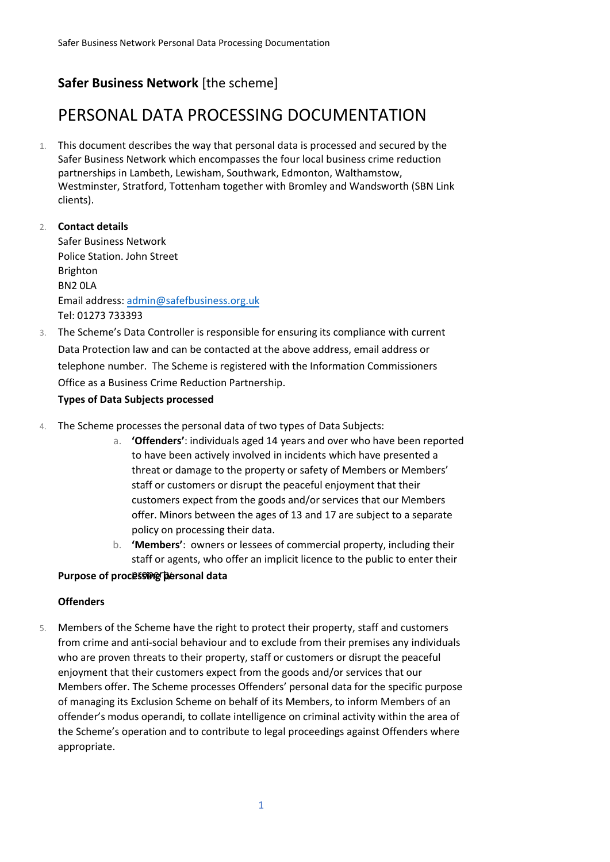# **Safer Business Network** [the scheme]

# PERSONAL DATA PROCESSING DOCUMENTATION

- 1. This document describes the way that personal data is processed and secured by the Safer Business Network which encompasses the four local business crime reduction partnerships in Lambeth, Lewisham, Southwark, Edmonton, Walthamstow, Westminster, Stratford, Tottenham together with Bromley and Wandsworth (SBN Link clients).
- 2. **Contact details** Safer Business Network Police Station. John Street Brighton BN2 0LA Email address: admin@safefbusiness.org.uk Tel: 01273 733393
- 3. The Scheme's Data Controller is responsible for ensuring its compliance with current Data Protection law and can be contacted at the above address, email address or telephone number. The Scheme is registered with the Information Commissioners Office as a Business Crime Reduction Partnership.

# **Types of Data Subjects processed**

- 4. The Scheme processes the personal data of two types of Data Subjects:
	- a. **'Offenders'**: individuals aged 14 years and over who have been reported to have been actively involved in incidents which have presented a threat or damage to the property or safety of Members or Members' staff or customers or disrupt the peaceful enjoyment that their customers expect from the goods and/or services that our Members offer. Minors between the ages of 13 and 17 are subject to a separate policy on processing their data.
	- b. **'Members'**: owners or lessees of commercial property, including their staff or agents, who offer an implicit licence to the public to enter their

# **Purpose of processing personal data**

# **Offenders**

5. Members of the Scheme have the right to protect their property, staff and customers from crime and anti-social behaviour and to exclude from their premises any individuals who are proven threats to their property, staff or customers or disrupt the peaceful enjoyment that their customers expect from the goods and/or services that our Members offer. The Scheme processes Offenders' personal data for the specific purpose of managing its Exclusion Scheme on behalf of its Members, to inform Members of an offender's modus operandi, to collate intelligence on criminal activity within the area of the Scheme's operation and to contribute to legal proceedings against Offenders where appropriate.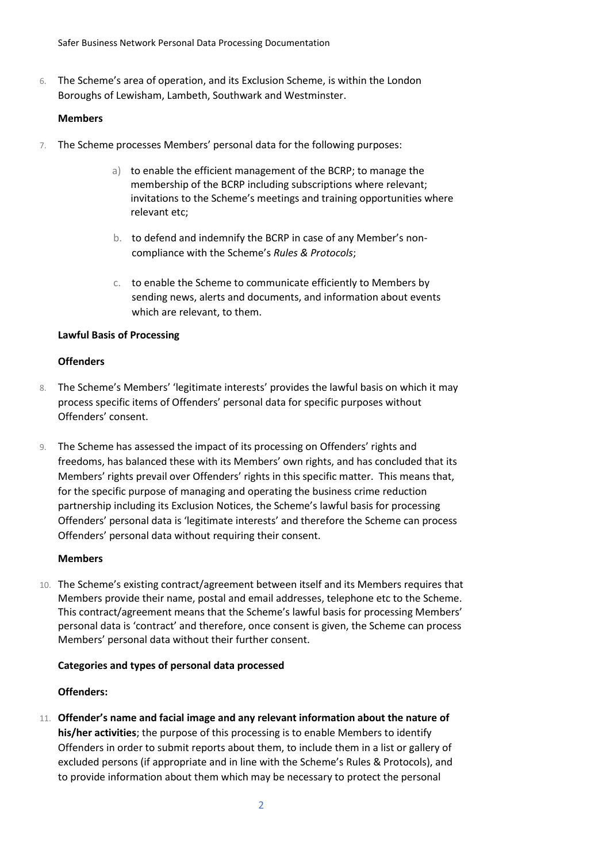Safer Business Network Personal Data Processing Documentation

6. The Scheme's area of operation, and its Exclusion Scheme, is within the London Boroughs of Lewisham, Lambeth, Southwark and Westminster.

#### **Members**

- 7. The Scheme processes Members' personal data for the following purposes:
	- a) to enable the efficient management of the BCRP; to manage the membership of the BCRP including subscriptions where relevant; invitations to the Scheme's meetings and training opportunities where relevant etc;
	- b. to defend and indemnify the BCRP in case of any Member's noncompliance with the Scheme's *Rules & Protocols*;
	- c. to enable the Scheme to communicate efficiently to Members by sending news, alerts and documents, and information about events which are relevant, to them.

# **Lawful Basis of Processing**

# **Offenders**

- 8. The Scheme's Members' 'legitimate interests' provides the lawful basis on which it may process specific items of Offenders' personal data for specific purposes without Offenders' consent.
- 9. The Scheme has assessed the impact of its processing on Offenders' rights and freedoms, has balanced these with its Members' own rights, and has concluded that its Members' rights prevail over Offenders' rights in this specific matter. This means that, for the specific purpose of managing and operating the business crime reduction partnership including its Exclusion Notices, the Scheme's lawful basis for processing Offenders' personal data is 'legitimate interests' and therefore the Scheme can process Offenders' personal data without requiring their consent.

#### **Members**

10. The Scheme's existing contract/agreement between itself and its Members requires that Members provide their name, postal and email addresses, telephone etc to the Scheme. This contract/agreement means that the Scheme's lawful basis for processing Members' personal data is 'contract' and therefore, once consent is given, the Scheme can process Members' personal data without their further consent.

#### **Categories and types of personal data processed**

#### **Offenders:**

11. **Offender's name and facial image and any relevant information about the nature of his/her activities**; the purpose of this processing is to enable Members to identify Offenders in order to submit reports about them, to include them in a list or gallery of excluded persons (if appropriate and in line with the Scheme's Rules & Protocols), and to provide information about them which may be necessary to protect the personal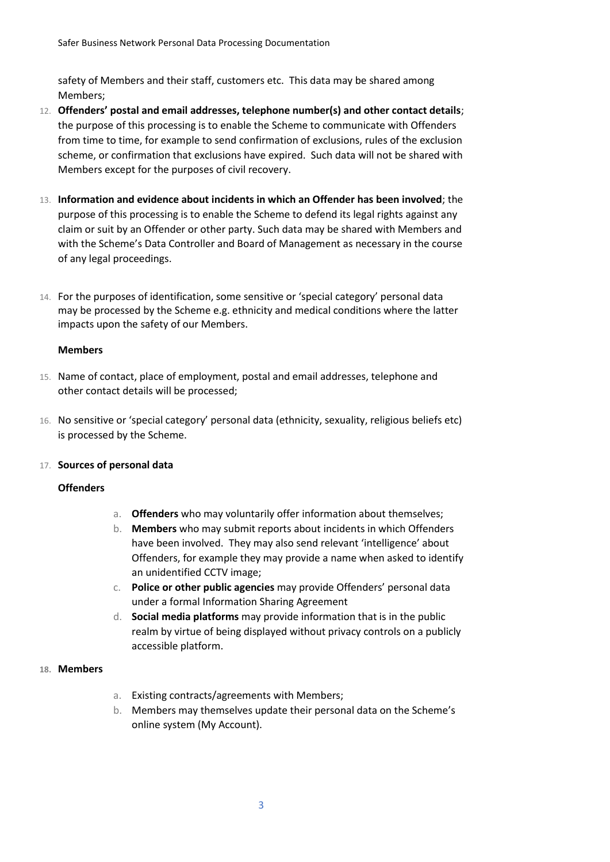safety of Members and their staff, customers etc. This data may be shared among Members;

- 12. **Offenders' postal and email addresses, telephone number(s) and other contact details**; the purpose of this processing is to enable the Scheme to communicate with Offenders from time to time, for example to send confirmation of exclusions, rules of the exclusion scheme, or confirmation that exclusions have expired. Such data will not be shared with Members except for the purposes of civil recovery.
- 13. **Information and evidence about incidents in which an Offender has been involved**; the purpose of this processing is to enable the Scheme to defend its legal rights against any claim or suit by an Offender or other party. Such data may be shared with Members and with the Scheme's Data Controller and Board of Management as necessary in the course of any legal proceedings.
- 14. For the purposes of identification, some sensitive or 'special category' personal data may be processed by the Scheme e.g. ethnicity and medical conditions where the latter impacts upon the safety of our Members.

#### **Members**

- 15. Name of contact, place of employment, postal and email addresses, telephone and other contact details will be processed;
- 16. No sensitive or 'special category' personal data (ethnicity, sexuality, religious beliefs etc) is processed by the Scheme.

#### 17. **Sources of personal data**

#### **Offenders**

- a. **Offenders** who may voluntarily offer information about themselves;
- b. **Members** who may submit reports about incidents in which Offenders have been involved. They may also send relevant 'intelligence' about Offenders, for example they may provide a name when asked to identify an unidentified CCTV image;
- c. **Police or other public agencies** may provide Offenders' personal data under a formal Information Sharing Agreement
- d. **Social media platforms** may provide information that is in the public realm by virtue of being displayed without privacy controls on a publicly accessible platform.

#### **18. Members**

- a. Existing contracts/agreements with Members;
- b. Members may themselves update their personal data on the Scheme's online system (My Account).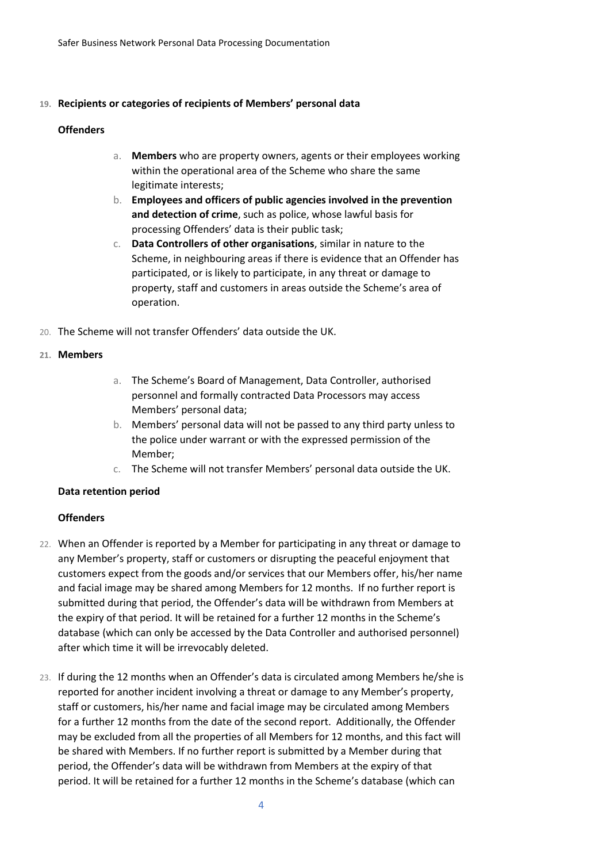#### **19. Recipients or categories of recipients of Members' personal data**

#### **Offenders**

- a. **Members** who are property owners, agents or their employees working within the operational area of the Scheme who share the same legitimate interests;
- b. **Employees and officers of public agencies involved in the prevention and detection of crime**, such as police, whose lawful basis for processing Offenders' data is their public task;
- c. **Data Controllers of other organisations**, similar in nature to the Scheme, in neighbouring areas if there is evidence that an Offender has participated, or is likely to participate, in any threat or damage to property, staff and customers in areas outside the Scheme's area of operation.
- 20. The Scheme will not transfer Offenders' data outside the UK.

#### **21. Members**

- a. The Scheme's Board of Management, Data Controller, authorised personnel and formally contracted Data Processors may access Members' personal data;
- b. Members' personal data will not be passed to any third party unless to the police under warrant or with the expressed permission of the Member;
- c. The Scheme will not transfer Members' personal data outside the UK.

#### **Data retention period**

#### **Offenders**

- 22. When an Offender is reported by a Member for participating in any threat or damage to any Member's property, staff or customers or disrupting the peaceful enjoyment that customers expect from the goods and/or services that our Members offer, his/her name and facial image may be shared among Members for 12 months. If no further report is submitted during that period, the Offender's data will be withdrawn from Members at the expiry of that period. It will be retained for a further 12 months in the Scheme's database (which can only be accessed by the Data Controller and authorised personnel) after which time it will be irrevocably deleted.
- 23. If during the 12 months when an Offender's data is circulated among Members he/she is reported for another incident involving a threat or damage to any Member's property, staff or customers, his/her name and facial image may be circulated among Members for a further 12 months from the date of the second report. Additionally, the Offender may be excluded from all the properties of all Members for 12 months, and this fact will be shared with Members. If no further report is submitted by a Member during that period, the Offender's data will be withdrawn from Members at the expiry of that period. It will be retained for a further 12 months in the Scheme's database (which can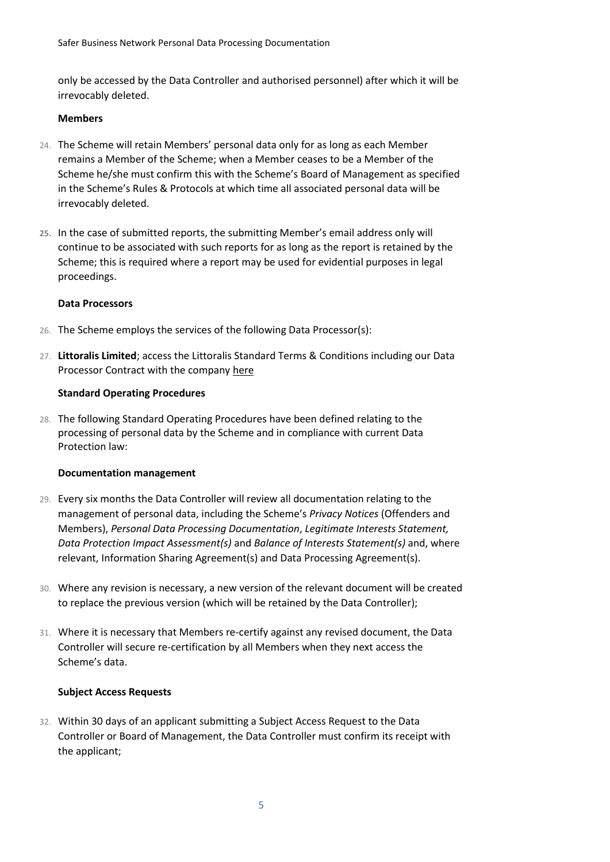only be accessed by the Data Controller and authorised personnel) after which it will be irrevocably deleted.

#### **Members**

- 24. The Scheme will retain Members' personal data only for as long as each Member remains a Member of the Scheme; when a Member ceases to be a Member of the Scheme he/she must confirm this with the Scheme's Board of Management as specified in the Scheme's Rules & Protocols at which time all associated personal data will be irrevocably deleted.
- **25.** In the case of submitted reports, the submitting Member's email address only will continue to be associated with such reports for as long as the report is retained by the Scheme; this is required where a report may be used for evidential purposes in legal proceedings.

# **Data Processors**

- 26. The Scheme employs the services of the following Data Processor(s):
- 27. **Littoralis Limited**; access the Littoralis Standard Terms & Conditions including our Data Processor Contract with the company [here](https://www.disc-net.org/uploads/attachment/attachment/33/88/83/files/LITTORALIS_TERMS_AND_CONDITIONS.pdf)

# **Standard Operating Procedures**

28. The following Standard Operating Procedures have been defined relating to the processing of personal data by the Scheme and in compliance with current Data Protection law:

#### **Documentation management**

- 29. Every six months the Data Controller will review all documentation relating to the management of personal data, including the Scheme's *Privacy Notices* (Offenders and Members), *Personal Data Processing Documentation*, *Legitimate Interests Statement, Data Protection Impact Assessment(s)* and *Balance of Interests Statement(s)* and, where relevant, Information Sharing Agreement(s) and Data Processing Agreement(s).
- 30. Where any revision is necessary, a new version of the relevant document will be created to replace the previous version (which will be retained by the Data Controller);
- 31. Where it is necessary that Members re-certify against any revised document, the Data Controller will secure re-certification by all Members when they next access the Scheme's data.

# **Subject Access Requests**

32. Within 30 days of an applicant submitting a Subject Access Request to the Data Controller or Board of Management, the Data Controller must confirm its receipt with the applicant;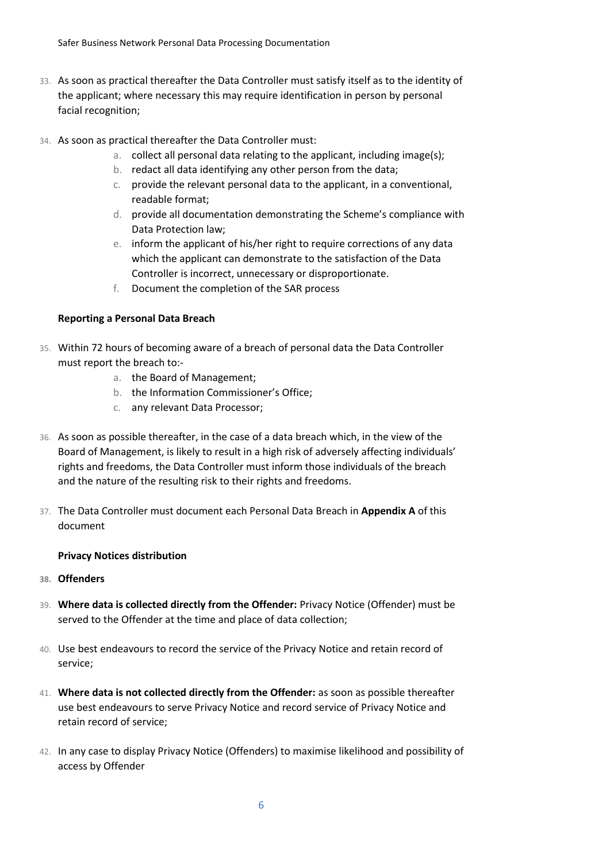- 33. As soon as practical thereafter the Data Controller must satisfy itself as to the identity of the applicant; where necessary this may require identification in person by personal facial recognition;
- 34. As soon as practical thereafter the Data Controller must:
	- a. collect all personal data relating to the applicant, including image(s);
	- b. redact all data identifying any other person from the data;
	- c. provide the relevant personal data to the applicant, in a conventional, readable format;
	- d. provide all documentation demonstrating the Scheme's compliance with Data Protection law;
	- e. inform the applicant of his/her right to require corrections of any data which the applicant can demonstrate to the satisfaction of the Data Controller is incorrect, unnecessary or disproportionate.
	- f. Document the completion of the SAR process

# **Reporting a Personal Data Breach**

- 35. Within 72 hours of becoming aware of a breach of personal data the Data Controller must report the breach to:
	- a. the Board of Management;
	- b. the Information Commissioner's Office;
	- c. any relevant Data Processor;
- 36. As soon as possible thereafter, in the case of a data breach which, in the view of the Board of Management, is likely to result in a high risk of adversely affecting individuals' rights and freedoms, the Data Controller must inform those individuals of the breach and the nature of the resulting risk to their rights and freedoms.
- 37. The Data Controller must document each Personal Data Breach in **Appendix A** of this document

#### **Privacy Notices distribution**

- **38. Offenders**
- 39. **Where data is collected directly from the Offender:** Privacy Notice (Offender) must be served to the Offender at the time and place of data collection;
- 40. Use best endeavours to record the service of the Privacy Notice and retain record of service;
- 41. **Where data is not collected directly from the Offender:** as soon as possible thereafter use best endeavours to serve Privacy Notice and record service of Privacy Notice and retain record of service;
- 42. In any case to display Privacy Notice (Offenders) to maximise likelihood and possibility of access by Offender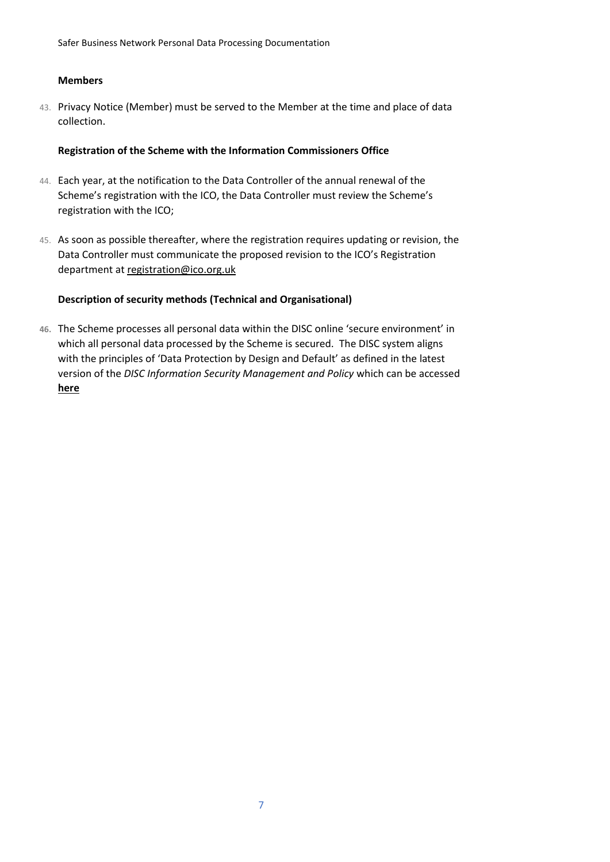Safer Business Network Personal Data Processing Documentation

#### **Members**

43. Privacy Notice (Member) must be served to the Member at the time and place of data collection.

# **Registration of the Scheme with the Information Commissioners Office**

- 44. Each year, at the notification to the Data Controller of the annual renewal of the Scheme's registration with the ICO, the Data Controller must review the Scheme's registration with the ICO;
- 45. As soon as possible thereafter, where the registration requires updating or revision, the Data Controller must communicate the proposed revision to the ICO's Registration department at [registration@ico.org.uk](mailto:registration@ico.org.uk)

# **Description of security methods (Technical and Organisational)**

**46.** The Scheme processes all personal data within the DISC online 'secure environment' in which all personal data processed by the Scheme is secured. The DISC system aligns with the principles of 'Data Protection by Design and Default' as defined in the latest version of the *DISC Information Security Management and Policy* which can be accessed **[here](https://www.disc-net.org/uploads/attachment/attachment/33/88/23/files/DISC_Information_Security_Management_and_Policy_20160918.pdf)**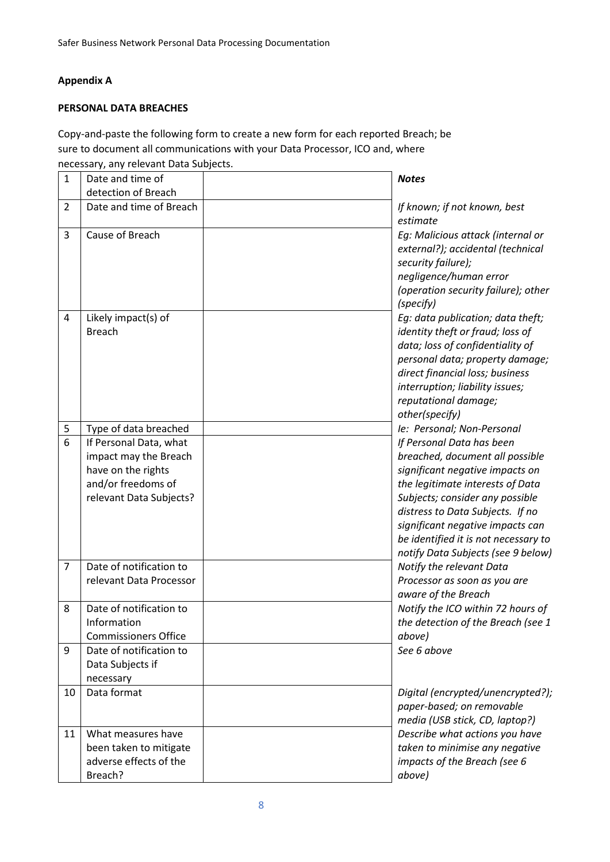# **Appendix A**

# **PERSONAL DATA BREACHES**

Copy-and-paste the following form to create a new form for each reported Breach; be sure to document all communications with your Data Processor, ICO and, where necessary, any relevant Data Subjects.

| $\mathbf{1}$   | Date and time of                                                                                                       | <b>Notes</b>                                                                                                                                                                                                                                                                                                                 |
|----------------|------------------------------------------------------------------------------------------------------------------------|------------------------------------------------------------------------------------------------------------------------------------------------------------------------------------------------------------------------------------------------------------------------------------------------------------------------------|
|                | detection of Breach                                                                                                    |                                                                                                                                                                                                                                                                                                                              |
| $\overline{2}$ | Date and time of Breach                                                                                                | If known; if not known, best<br>estimate                                                                                                                                                                                                                                                                                     |
| 3              | Cause of Breach                                                                                                        | Eg: Malicious attack (internal or<br>external?); accidental (technical<br>security failure);<br>negligence/human error<br>(operation security failure); other<br>(specify)                                                                                                                                                   |
| 4              | Likely impact(s) of<br><b>Breach</b>                                                                                   | Eg: data publication; data theft;<br>identity theft or fraud; loss of<br>data; loss of confidentiality of<br>personal data; property damage;<br>direct financial loss; business<br>interruption; liability issues;<br>reputational damage;<br>other(specify)                                                                 |
| 5              | Type of data breached                                                                                                  | le: Personal; Non-Personal                                                                                                                                                                                                                                                                                                   |
| 6              | If Personal Data, what<br>impact may the Breach<br>have on the rights<br>and/or freedoms of<br>relevant Data Subjects? | If Personal Data has been<br>breached, document all possible<br>significant negative impacts on<br>the legitimate interests of Data<br>Subjects; consider any possible<br>distress to Data Subjects. If no<br>significant negative impacts can<br>be identified it is not necessary to<br>notify Data Subjects (see 9 below) |
| 7              | Date of notification to<br>relevant Data Processor                                                                     | Notify the relevant Data<br>Processor as soon as you are<br>aware of the Breach                                                                                                                                                                                                                                              |
| 8              | Date of notification to<br>Information<br><b>Commissioners Office</b>                                                  | Notify the ICO within 72 hours of<br>the detection of the Breach (see 1<br>above)                                                                                                                                                                                                                                            |
| 9              | Date of notification to<br>Data Subjects if<br>necessary                                                               | See 6 above                                                                                                                                                                                                                                                                                                                  |
| 10             | Data format                                                                                                            | Digital (encrypted/unencrypted?);<br>paper-based; on removable<br>media (USB stick, CD, laptop?)                                                                                                                                                                                                                             |
| 11             | What measures have<br>been taken to mitigate<br>adverse effects of the<br>Breach?                                      | Describe what actions you have<br>taken to minimise any negative<br>impacts of the Breach (see 6<br>above)                                                                                                                                                                                                                   |